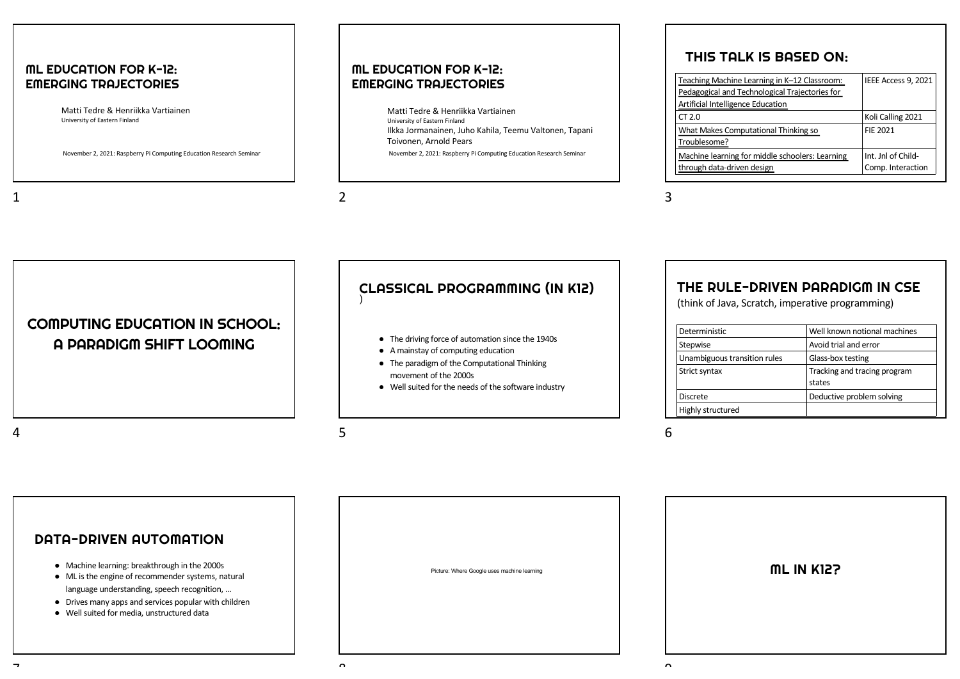#### ML EDUCATION FOR K-12: [EMERGING TRAJECTORIES](https://ieeexplore.ieee.org/abstract/document/9490241)

Matti Tedre & Henriikka Vartiainen University of Eastern Finland

[November 2, 2021: Raspberry Pi Computing E](https://doi.org/10.1016/j.ijcci.2021.100281)ducation Research Seminar

#### ML EDUCATION FOR K-12: EMERGING TRAJECTORIES

November 2, 2021: Raspberry Pi Computing Education Research Seminar Matti Tedre & Henriikka Vartiainen University of Eastern Finland Ilkka Jormanainen, Juho Kahila, Teemu Valtonen, Tapani Toivonen, Arnold Pears

#### $\overline{\mathcal{L}}$

## THIS TALK IS BASED ON:

| Teaching Machine Learning in K-12 Classroom:    | IEEE Access 9, 2021 |
|-------------------------------------------------|---------------------|
| Pedagogical and Technological Trajectories for  |                     |
| Artificial Intelligence Education               |                     |
| CT 2.0                                          | Koli Calling 2021   |
| What Makes Computational Thinking so            | FIE 2021            |
| Troublesome?                                    |                     |
| Machine learning for middle schoolers: Learning | Int. Jnl of Child-  |
| through data-driven design                      | Comp. Interaction   |

#### 3

COMPUTING EDUCATION IN SCHOOL: A PARADIGM SHIFT LOOMING

#### CLASSICAL PROGRAMMING (IN K12) )

- The driving force of automation since the 1940s
- A mainstay of computing education
- The paradigm of the Computational Thinking movement of the 2000s
- Well suited for the needs of the software industry

## THE RULE-DRIVEN PARADIGM IN CSE

(think of Java, Scratch, imperative programming)

| Deterministic                | Well known notional machines           |
|------------------------------|----------------------------------------|
| Stepwise                     | Avoid trial and error                  |
| Unambiguous transition rules | Glass-box testing                      |
| Strict syntax                | Tracking and tracing program<br>states |
| <b>Discrete</b>              | Deductive problem solving              |
| Highly structured            |                                        |

#### $\overline{A}$

1

5

#### 6

DATA-DRIVEN AUTOMATION ● Machine learning: breakthrough in the 2000s ● ML is the engine of recommender systems, natural language understanding, speech recognition, … ● Drives many apps and services popular with children ● Well suited for media, unstructured data Picture: Where Google uses machine learning  $\sim$ ML IN K12?  $\sim$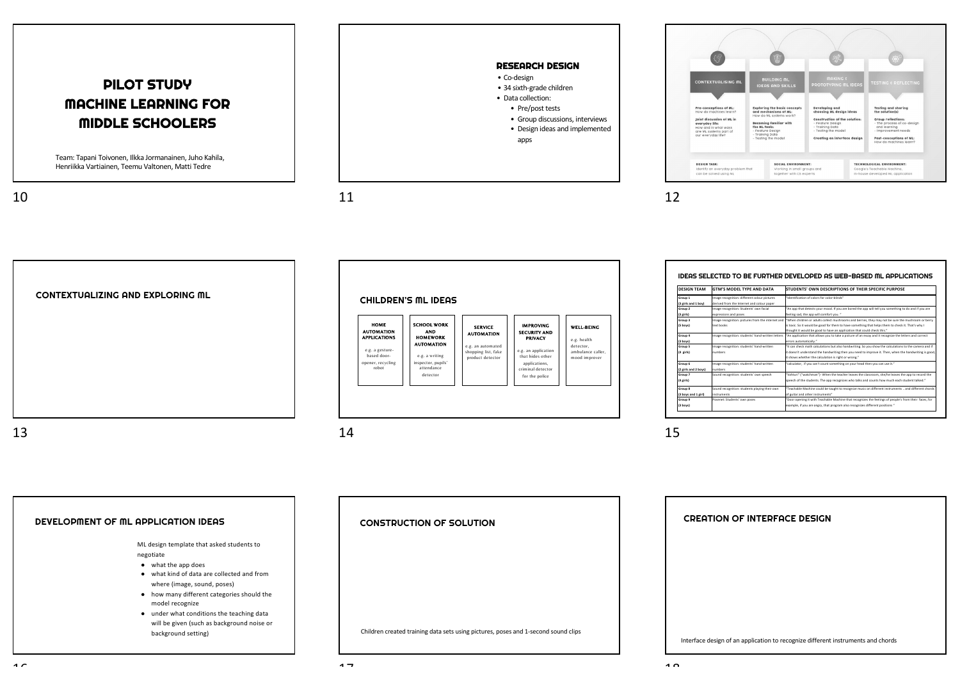# PILOT STUDY MACHINE LEARNING FOR MIDDLE SCHOOLERS

Team: Tapani Toivonen, Ilkka Jormanainen, Juho Kahila, Henriikka Vartiainen, Teemu Valtonen, Matti Tedre

10

 $11$  12



**ONTEVTUOLICIN Pre-conceptions of ML:**<br>How do machines learns **Exploring the basic cone**<br>**and mechanisms of ML:**<br>How do ML systems work Testing and sharing<br>the solution(s) Developing and<br>choosing ML design ideas Joint discussion of ML in<br>everyday life:<br>Now and in what ways<br>are ML systems part of<br>our everyday life? **Construction of the solution<br>- Feature Design<br>- Training Data<br>- Testing the model Group reflections:**<br>- The process of co-design<br>- and learning<br>- Improvement needs Becoming familiar with<br>the ML tools:<br>- Eecture Design the ML tools:<br>- Feature Design<br>- Training Data<br>- Testing the made **Post-conceptions of ML:**<br>How do machines learn? Creating an interface design **DESIGN TASK:** SOCIAL ENVIRONMENT: TECHNOLOGICAL ENVIRONMENT-SOCIAL ENVIRONMENT:<br>Working in small groups and<br>together with CS experts Coogle's Teachable Machine,<br>In-house developed ML applicatio can be solved using M

CONTEXTUALIZING AND EXPLORING ML 13



14

| <b>DESIGN TEAM</b>   | <b>GTM'S MODEL TYPE AND DATA</b>                  | STUDENTS' OWN DESCRIPTIONS OF THEIR SPECIFIC PURPOSE                                                                                                                          |
|----------------------|---------------------------------------------------|-------------------------------------------------------------------------------------------------------------------------------------------------------------------------------|
| Group 1              | Image recognition: different colour pictures      | "Identification of colors for color-blinds"                                                                                                                                   |
| (3 girls and 1 boy)  | derived from the Internet and colour paper        |                                                                                                                                                                               |
| Group 2              | Image recognition: Students' own facial           | "An app that detects your mood. If you are bored the app will tell you something to do and if you are                                                                         |
| $(3$ girls)          | expressions and poses                             | feeling sad, the app will comfort you."                                                                                                                                       |
| Group 3              | Image recognition: pictures from the internet and | "When children or adults collect mushrooms and berries, they may not be sure the mushroom or berry                                                                            |
| (5 boys)             | text hooks                                        | is toxic. So it would be good for them to have something that helps them to check it. That's why I<br>thought it would be good to have an application that could check this." |
| Group 4              | Image recognition: students' hand-written letters | "An application that allows you to take a picture of an essay and it recognize the letters and correct                                                                        |
| (3 boys)             |                                                   | errors automatically."                                                                                                                                                        |
| Group 5              | Image recognition: students' hand-written         | "It can check math calculations but also handwriting. So you show the calculations to the camera and if                                                                       |
| (4 girls)            | numbers                                           | it doesn't understand the handwriting then you need to improve it. Then, when the handwriting is good.<br>it shows whether the calculation is right or wrong."                |
| Group 6              | Image recognition: students' hand-written         | 'calculator. If you can't count something on your head then you can use it."                                                                                                  |
| (2 girls and 2 boys) | numbers                                           |                                                                                                                                                                               |
| Group 7              | Sound recognition: students' own speech           | "Vahturi" ("watchman") · When the teacher leaves the classroom, she/he leaves the app to record the                                                                           |
| (4 girls)            |                                                   | speech of the students. The app recognizes who talks and counts how much each student talked."                                                                                |
| Group 8              | Sound recognition: students playing their own     | "Teachable Machine could be taught to recognize music on different instruments  and different chords                                                                          |
| (3 boys and 1 girl)  | instruments                                       | of guitar and other instruments"                                                                                                                                              |
| Group 9              | Posenet: Students' own poses                      | "Door opening it with Teachable Machine that recognizes the feelings of people's from their faces, for                                                                        |
| (3 boys)             |                                                   | example. If you are angry, that program also recognizes different positions."                                                                                                 |

15

DEVELOPMENT OF ML APPLICATION IDEAS ML design template that asked students to negotiate ● what the app does ● what kind of data are collected and from where (image, sound, poses) ● how many different categories should the model recognize ● under what conditions the teaching data will be given (such as background noise or background setting) CONSTRUCTION OF SOLUTION Children created training data sets using pictures, poses and 1-second sound clips Interface design of an application to recognize different instruments and chords CREATION OF INTERFACE DESIGN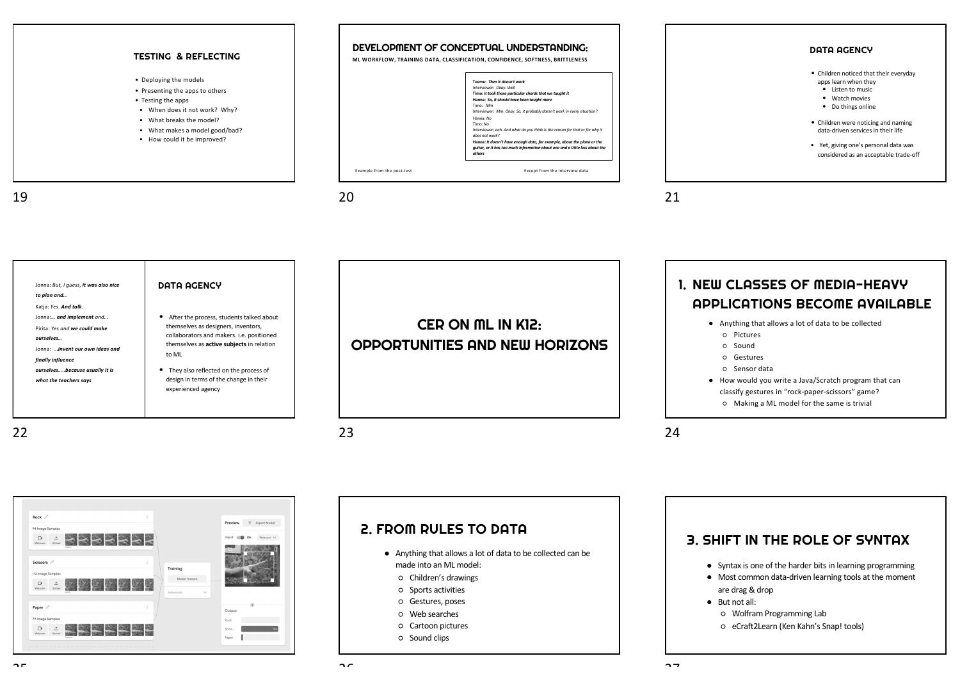

| Jonna: But, I quess, it was also nice<br>to plan and | DATA AGENCY                                      |
|------------------------------------------------------|--------------------------------------------------|
| Katja: Yes. And talk.                                | • After the process, students talked about       |
| Jonna: and implement and                             | themselves as designers, inventors,              |
| Pirita: Yes and we could make                        | collaborators and makers. i.e. positioned        |
| ourselves                                            | themselves as <b>active subjects</b> in relation |
| Jonna: invent our own ideas and                      | to ML                                            |
| finally influence                                    | • They also reflected on the process of          |
| ourselvesbecause usually it is                       | design in terms of the change in their           |
| what the teachers says                               | experienced agency                               |

CER ON ML IN K12: OPPORTUNITIES AND NEW HORIZONS 1. NEW CLASSES OF MEDIA-HEAVY APPLICATIONS BECOME AVAILABLE

- Anything that allows a lot of data to be collected
	- Pictures
	- Sound
	- Gestures
	- Sensor data
- How would you write a Java/Scratch program that can classify gestures in "rock-paper-scissors" game?
	- Making a ML model for the same is trivial

 $24$ 



## 2. FROM RULES TO DATA

- Anything that allows a lot of data to be collected can be made into an ML model:
	- Children's drawings
	- Sports activities
	- Gestures, poses
	- Web searches
	- Cartoon pictures
	- Sound clips

#### 3. SHIFT IN THE ROLE OF SYNTAX

- Syntax is one of the harder bits in learning programming
- Most common data-driven learning tools at the moment are drag & drop
- But not all:
	- Wolfram Programming Lab
	- eCraft2Learn (Ken Kahn's Snap! tools)

 $22$ 

23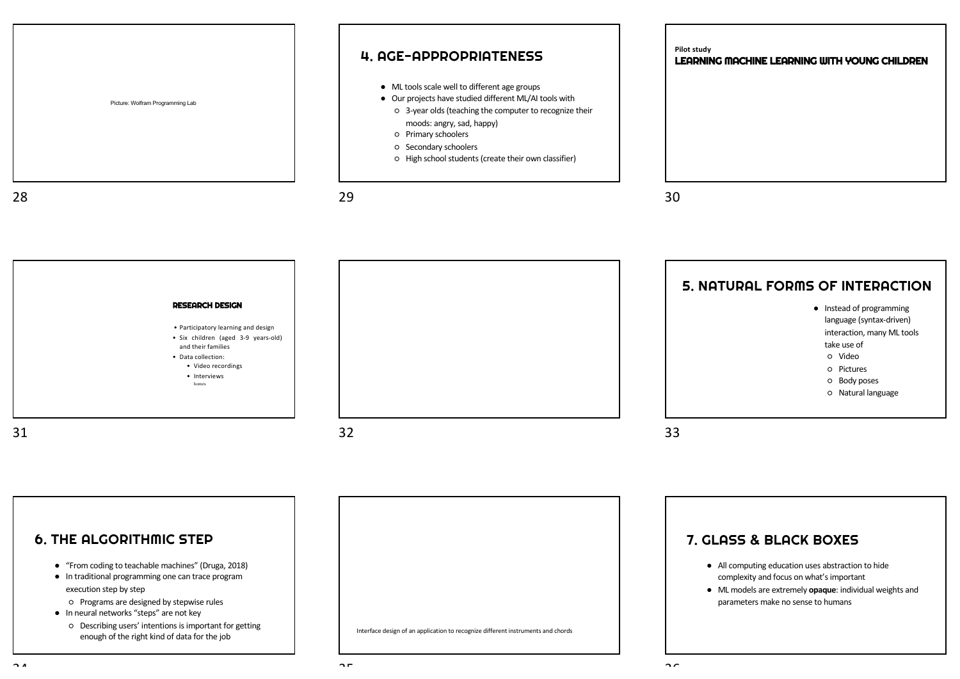

#### 6. THE ALGORITHMIC STEP

- "From coding to teachable machines" (Druga, 2018)
- In traditional programming one can trace program execution step by step
	- Programs are designed by stepwise rules
- In neural networks "steps" are not key
	- Describing users' intentions is important for getting enough of the right kind of data for the job



7. GLASS **&** BLACK BOXES

- All computing education uses abstraction to hide complexity and focus on what's important
- ML models are extremely **opaque**: individual weights and parameters make no sense to humans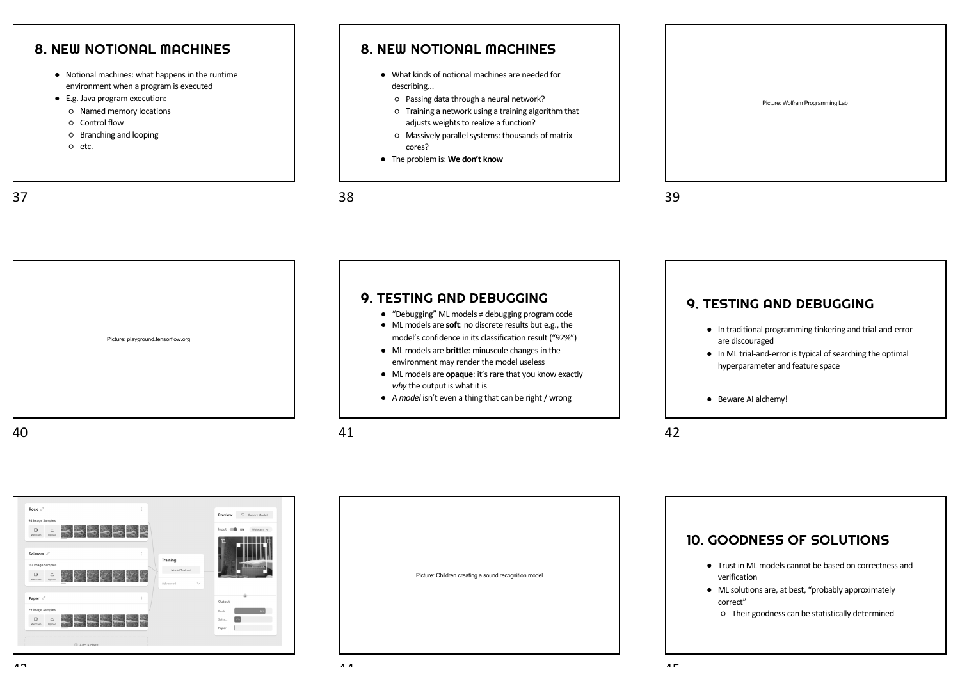

- E.g. Java program execution:
- Named memory locations
- Control flow
- Branching and looping
- etc.

37

#### 8. NEW NOTIONAL MACHINES

- What kinds of notional machines are needed for describing...
	- Passing data through a neural network?
	- Training a network using a training algorithm that adjusts weights to realize a function?
	- Massively parallel systems: thousands of matrix cores?
- The problem is: **We don't know**

38

Picture: Wolfram Programming Lab

39





Picture: Children creating a sound recognition model



○ Their goodness can be statistically determined

 $\overline{4}$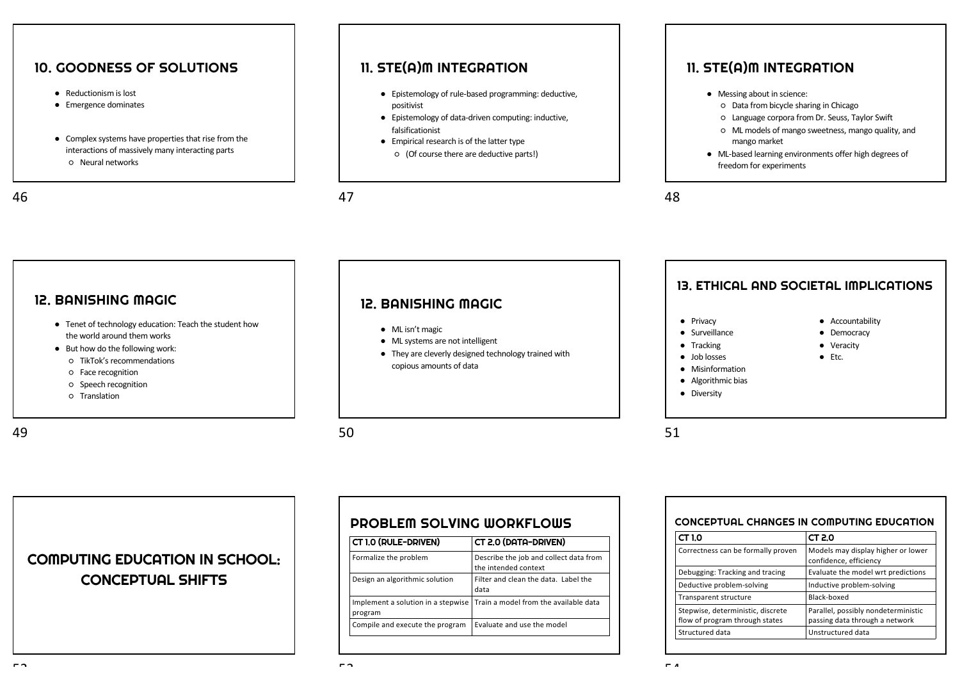## 10. GOODNESS OF SOLUTIONS

- Reductionism is lost
- Emergence dominates
- Complex systems have properties that rise from the interactions of massively many interacting parts ○ Neural networks

46

#### 11. STE(A)M INTEGRATION

- Epistemology of rule-based programming: deductive, positivist
- Epistemology of data-driven computing: inductive, falsificationist
- Empirical research is of the latter type
	- (Of course there are deductive parts!)

47

50

 $-2$ 

## 11. STE(A)M INTEGRATION

- Messing about in science:
	- Data from bicycle sharing in Chicago
	- Language corpora from Dr. Seuss, Taylor Swift
	- ML models of mango sweetness, mango quality, and mango market
- ML-based learning environments offer high degrees of freedom for experiments

48

#### 12. BANISHING MAGIC

- Tenet of technology education: Teach the student how the world around them works
- But how do the following work:
	- TikTok's recommendations
	- Face recognition
	- Speech recognition
	- Translation

## 12. BANISHING MAGIC

- ML isn't magic
- ML systems are not intelligent
- They are cleverly designed technology trained with copious amounts of data

## 13. ETHICAL AND SOCIETAL IMPLICATIONS

● Accountability ● Democracy ● Veracity ● Etc.

- Privacy
- Surveillance
- Tracking
- Job losses
- Misinformation
- Algorithmic bias
- Diversity

51

| CONCEPTUAL CHANGES IN COMPUTING EDUCATION |                                                              |
|-------------------------------------------|--------------------------------------------------------------|
| CT 1.0                                    | CT 2.0                                                       |
| Correctness can be formally proven        | Models may display higher or lower<br>confidence, efficiency |
| Debugging: Tracking and tracing           | Evaluate the model wrt predictions                           |

| <b>INIOUCIS THEY UISDIGY THEFICI OF TOWCH</b>                         |
|-----------------------------------------------------------------------|
| confidence, efficiency                                                |
| Evaluate the model wrt predictions                                    |
| Inductive problem-solving                                             |
| Black-boxed                                                           |
| Parallel, possibly nondeterministic<br>passing data through a network |
| Unstructured data                                                     |
|                                                                       |

# COMPUTING EDUCATION IN SCHOOL: CONCEPTUAL SHIFTS

## PROBLEM SOLVING WORKFLOWS

| CT 2.0 (DATA-DRIVEN)                                                     |
|--------------------------------------------------------------------------|
| Describe the job and collect data from<br>the intended context           |
| Filter and clean the data. Label the<br>data                             |
| Implement a solution in a stepwise Train a model from the available data |
| Evaluate and use the model                                               |
|                                                                          |

49

- - -
		-
	-